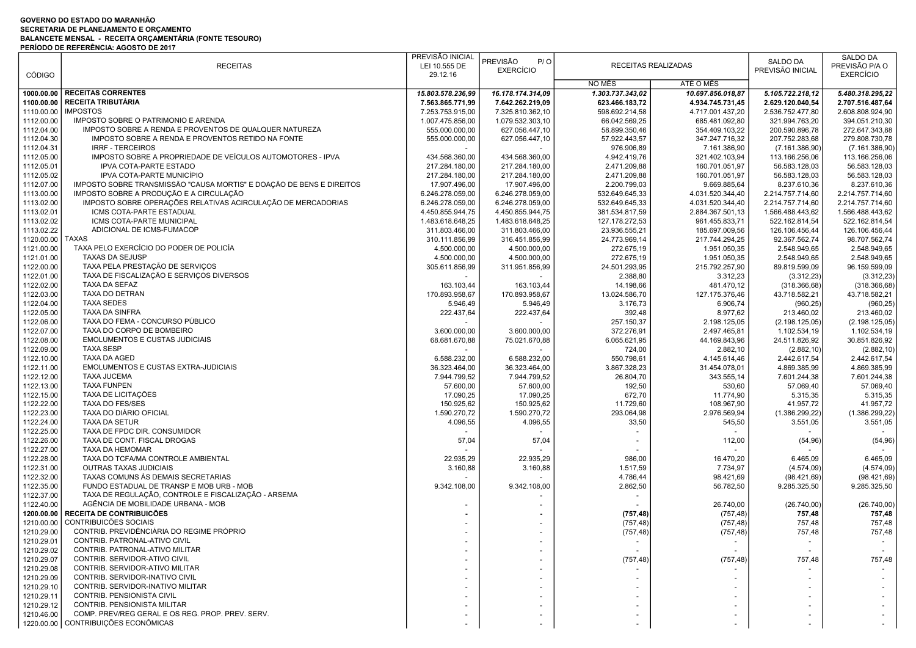## GOVERNO DO ESTADO DO MARANHÃO SECRETARIA DE PLANEJAMENTO E ORÇAMENTO BALANCETE MENSAL - RECEITA ORÇAMENTÁRIA (FONTE TESOURO)

|               | PERIODO DE REFERENCIA: AGOSTO DE 2017                                |                   |                   |                  |                     |                  |                  |
|---------------|----------------------------------------------------------------------|-------------------|-------------------|------------------|---------------------|------------------|------------------|
|               |                                                                      | PREVISÃO INICIAL  | PREVISÃO<br>P/O   |                  |                     | SALDO DA         | SALDO DA         |
|               | <b>RECEITAS</b>                                                      | LEI 10.555 DE     |                   |                  | RECEITAS REALIZADAS |                  | PREVISÃO P/A O   |
| <b>CÓDIGO</b> |                                                                      | 29.12.16          | <b>EXERCÍCIO</b>  |                  |                     | PREVISÃO INICIAL | <b>EXERCÍCIO</b> |
|               |                                                                      |                   |                   | NO MÊS           | ATÉ O MÊS           |                  |                  |
|               | 1000.00.00   RECEITAS CORRENTES                                      | 15.803.578.236,99 | 16.178.174.314,09 | 1.303.737.343,02 | 10.697.856.018,87   | 5.105.722.218,12 | 5.480.318.295,22 |
|               | <b>RECEITA TRIBUTÁRIA</b>                                            |                   |                   |                  |                     |                  |                  |
| 1100.00.00    |                                                                      | 7.563.865.771,99  | 7.642.262.219,09  | 623.466.183,72   | 4.934.745.731,45    | 2.629.120.040,54 | 2.707.516.487,64 |
| 1110.00.00    | <b>IMPOSTOS</b>                                                      | 7.253.753.915,00  | 7.325.810.362,10  | 598.692.214,58   | 4.717.001.437,20    | 2.536.752.477,80 | 2.608.808.924,90 |
| 1112.00.00    | IMPOSTO SOBRE O PATRIMONIO E ARENDA                                  | 1.007.475.856,00  | 1.079.532.303,10  | 66.042.569,25    | 685.481.092,80      | 321.994.763,20   | 394.051.210,30   |
| 1112.04.00    | IMPOSTO SOBRE A RENDA E PROVENTOS DE QUALQUER NATUREZA               | 555.000.000,00    | 627.056.447,10    | 58.899.350,46    | 354.409.103,22      | 200.590.896,78   | 272.647.343,88   |
| 1112.04.30    | IMPOSTO SOBRE A RENDA E PROVENTOS RETIDO NA FONTE                    | 555.000.000,00    | 627.056.447,10    | 57.922.443,57    | 347.247.716,32      | 207.752.283,68   | 279.808.730,78   |
| 1112.04.31    | <b>IRRF - TERCEIROS</b>                                              |                   |                   | 976.906,89       | 7.161.386,90        | (7.161.386,90)   | (7.161.386,90)   |
| 1112.05.00    | IMPOSTO SOBRE A PROPRIEDADE DE VEÍCULOS AUTOMOTORES - IPVA           | 434.568.360,00    | 434.568.360,00    | 4.942.419,76     | 321.402.103,94      | 113.166.256,06   | 113.166.256,06   |
| 1112.05.01    | <b>IPVA COTA-PARTE ESTADO</b>                                        | 217.284.180,00    | 217.284.180,00    | 2.471.209,88     | 160.701.051,97      | 56.583.128,03    | 56.583.128,03    |
|               | IPVA COTA-PARTE MUNICÍPIO                                            | 217.284.180,00    |                   | 2.471.209,88     | 160.701.051,97      |                  |                  |
| 1112.05.02    |                                                                      |                   | 217.284.180,00    |                  |                     | 56.583.128,03    | 56.583.128,03    |
| 1112.07.00    | IMPOSTO SOBRE TRANSMISSÃO "CAUSA MORTIS" E DOAÇÃO DE BENS E DIREITOS | 17.907.496,00     | 17.907.496,00     | 2.200.799,03     | 9.669.885,64        | 8.237.610,36     | 8.237.610,36     |
| 1113.00.00    | IMPOSTO SOBRE A PRODUÇÃO E A CIRCULAÇÃO                              | 6.246.278.059,00  | 6.246.278.059,00  | 532.649.645,33   | 4.031.520.344,40    | 2.214.757.714,60 | 2.214.757.714,60 |
| 1113.02.00    | IMPOSTO SOBRE OPERAÇÕES RELATIVAS ACIRCULAÇÃO DE MERCADORIAS         | 6.246.278.059.00  | 6.246.278.059,00  | 532.649.645,33   | 4.031.520.344,40    | 2.214.757.714,60 | 2.214.757.714,60 |
| 1113.02.01    | ICMS COTA-PARTE ESTADUAL                                             | 4.450.855.944,75  | 4.450.855.944,75  | 381.534.817,59   | 2.884.367.501,13    | 1.566.488.443,62 | 1.566.488.443,62 |
| 1113.02.02    | ICMS COTA-PARTE MUNICIPAL                                            | 1.483.618.648,25  | 1.483.618.648,25  | 127.178.272,53   | 961.455.833,71      | 522.162.814,54   | 522.162.814,54   |
| 1113.02.22    | ADICIONAL DE ICMS-FUMACOP                                            | 311.803.466,00    | 311.803.466,00    | 23.936.555,21    | 185.697.009,56      | 126.106.456,44   | 126.106.456,44   |
| 1120.00.00    | <b>TAXAS</b>                                                         | 310.111.856,99    | 316.451.856,99    | 24.773.969,14    | 217.744.294,25      | 92.367.562,74    | 98.707.562,74    |
|               | TAXA PELO EXERCÍCIO DO PODER DE POLICÍA                              |                   |                   |                  |                     |                  |                  |
| 1121.00.00    |                                                                      | 4.500.000,00      | 4.500.000,00      | 272.675,19       | 1.951.050,35        | 2.548.949,65     | 2.548.949,65     |
| 1121.01.00    | <b>TAXAS DA SEJUSP</b>                                               | 4.500.000.00      | 4.500.000,00      | 272.675,19       | 1.951.050,35        | 2.548.949,65     | 2.548.949,65     |
| 1122.00.00    | TAXA PELA PRESTAÇÃO DE SERVIÇOS                                      | 305.611.856,99    | 311.951.856,99    | 24.501.293,95    | 215.792.257,90      | 89.819.599,09    | 96.159.599,09    |
| 1122.01.00    | TAXA DE FISCALIZAÇÃO E SERVIÇOS DIVERSOS                             |                   |                   | 2.388,80         | 3.312,23            | (3.312, 23)      | (3.312, 23)      |
| 1122.02.00    | TAXA DA SEFAZ                                                        | 163.103,44        | 163.103,44        | 14.198,66        | 481.470.12          | (318.366, 68)    | (318.366, 68)    |
| 1122.03.00    | TAXA DO DETRAN                                                       | 170.893.958,67    | 170.893.958,67    | 13.024.586,70    | 127.175.376,46      | 43.718.582,21    | 43.718.582,21    |
| 1122.04.00    | <b>TAXA SEDES</b>                                                    | 5.946,49          | 5.946,49          | 3.176,73         | 6.906,74            | (960, 25)        | (960, 25)        |
| 1122.05.00    | <b>TAXA DA SINFRA</b>                                                | 222.437,64        | 222.437,64        | 392,48           | 8.977,62            | 213.460.02       | 213.460,02       |
|               | TAXA DO FEMA - CONCURSO PÚBLICO                                      |                   |                   |                  |                     |                  |                  |
| 1122.06.00    |                                                                      |                   |                   | 257.150,37       | 2.198.125,05        | (2.198.125,05)   | (2.198.125,05)   |
| 1122.07.00    | TAXA DO CORPO DE BOMBEIRO                                            | 3.600.000,00      | 3.600.000,00      | 372.276,91       | 2.497.465,81        | 1.102.534,19     | 1.102.534,19     |
| 1122.08.00    | <b>EMOLUMENTOS E CUSTAS JUDICIAIS</b>                                | 68.681.670,88     | 75.021.670,88     | 6.065.621,95     | 44.169.843,96       | 24.511.826,92    | 30.851.826,92    |
| 1122.09.00    | <b>TAXA SESP</b>                                                     |                   |                   | 724,00           | 2.882,10            | (2.882, 10)      | (2.882, 10)      |
| 1122.10.00    | TAXA DA AGED                                                         | 6.588.232.00      | 6.588.232,00      | 550.798,61       | 4.145.614,46        | 2.442.617,54     | 2.442.617,54     |
| 1122.11.00    | EMOLUMENTOS E CUSTAS EXTRA-JUDICIAIS                                 | 36.323.464,00     | 36.323.464,00     | 3.867.328,23     | 31.454.078,01       | 4.869.385,99     | 4.869.385,99     |
| 1122.12.00    | <b>TAXA JUCEMA</b>                                                   | 7.944.799,52      | 7.944.799,52      | 26.804,70        | 343.555,14          | 7.601.244,38     | 7.601.244,38     |
| 1122.13.00    | <b>TAXA FUNPEN</b>                                                   | 57.600,00         | 57.600,00         | 192,50           | 530,60              | 57.069,40        | 57.069,40        |
|               | TAXA DE LICITAÇÕES                                                   |                   |                   |                  |                     |                  |                  |
| 1122.15.00    |                                                                      | 17.090,25         | 17.090,25         | 672,70           | 11.774,90           | 5.315,35         | 5.315,35         |
| 1122.22.00    | TAXA DO FES/SES                                                      | 150.925,62        | 150.925,62        | 11.729,60        | 108.967,90          | 41.957,72        | 41.957,72        |
| 1122.23.00    | TAXA DO DIÁRIO OFICIAL                                               | 1.590.270,72      | 1.590.270,72      | 293.064,98       | 2.976.569,94        | (1.386.299, 22)  | (1.386.299, 22)  |
| 1122.24.00    | TAXA DA SETUR                                                        | 4.096,55          | 4.096,55          | 33,50            | 545,50              | 3.551,05         | 3.551,05         |
| 1122.25.00    | TAXA DE FPDC DIR. CONSUMIDOR                                         |                   |                   |                  |                     |                  |                  |
| 1122.26.00    | TAXA DE CONT. FISCAL DROGAS                                          | 57,04             | 57,04             |                  | 112,00              | (54, 96)         | (54, 96)         |
| 1122.27.00    | TAXA DA HEMOMAR                                                      |                   |                   |                  |                     |                  |                  |
| 1122.28.00    | TAXA DO TCFA/MA CONTROLE AMBIENTAL                                   | 22.935,29         | 22.935,29         | 986,00           | 16.470,20           | 6.465,09         | 6.465,09         |
|               | <b>OUTRAS TAXAS JUDICIAIS</b>                                        |                   |                   |                  |                     |                  |                  |
| 1122.31.00    |                                                                      | 3.160,88          | 3.160,88          | 1.517,59         | 7.734,97            | (4.574,09)       | (4.574,09)       |
| 1122.32.00    | TAXAS COMUNS ÀS DEMAIS SECRETARIAS                                   |                   |                   | 4.786,44         | 98.421,69           | (98.421, 69)     | (98.421, 69)     |
| 1122.35.00    | FUNDO ESTADUAL DE TRANSP E MOB URB - MOB                             | 9.342.108,00      | 9.342.108,00      | 2.862,50         | 56.782,50           | 9.285.325,50     | 9.285.325,50     |
| 1122.37.00    | TAXA DE REGULAÇÃO, CONTROLE E FISCALIZAÇÃO - ARSEMA                  |                   |                   |                  |                     |                  |                  |
| 1122.40.00    | AGÊNCIA DE MOBILIDADE URBANA - MOB                                   |                   |                   |                  | 26.740,00           | (26.740,00)      | (26.740,00)      |
| 1200.00.00    | <b>RECEITA DE CONTRIBUICÕES</b>                                      |                   |                   | (757, 48)        | (757, 48)           | 757,48           | 757,48           |
|               | 1210.00.00 CONTRIBUICÕES SOCIAIS                                     |                   |                   | (757, 48)        | (757, 48)           | 757,48           | 757,48           |
| 1210.29.00    | CONTRIB. PREVIDÊNCIÁRIA DO REGIME PRÓPRIO                            |                   |                   | (757, 48)        | (757, 48)           | 757,48           | 757,48           |
| 1210.29.01    | CONTRIB. PATRONAL-ATIVO CIVIL                                        |                   |                   |                  |                     |                  |                  |
|               |                                                                      |                   |                   |                  |                     |                  |                  |
| 1210.29.02    | CONTRIB. PATRONAL-ATIVO MILITAR                                      |                   |                   |                  |                     |                  |                  |
| 1210.29.07    | CONTRIB. SERVIDOR-ATIVO CIVIL                                        |                   |                   | (757, 48)        | (757, 48)           | 757,48           | 757,48           |
| 1210.29.08    | CONTRIB. SERVIDOR-ATIVO MILITAR                                      |                   |                   |                  |                     |                  |                  |
| 1210.29.09    | CONTRIB. SERVIDOR-INATIVO CIVIL                                      |                   |                   |                  |                     |                  |                  |
| 1210.29.10    | CONTRIB. SERVIDOR-INATIVO MILITAR                                    |                   |                   |                  |                     |                  |                  |
| 1210.29.11    | CONTRIB. PENSIONISTA CIVIL                                           |                   |                   |                  |                     |                  |                  |
| 1210.29.12    | <b>CONTRIB, PENSIONISTA MILITAR</b>                                  |                   |                   |                  |                     |                  |                  |
| 1210.46.00    | COMP. PREV/REG GERAL E OS REG. PROP. PREV. SERV.                     |                   |                   |                  |                     |                  |                  |
|               |                                                                      |                   |                   |                  |                     |                  |                  |
|               | 1220.00.00 CONTRIBUIÇÕES ECONÔMICAS                                  |                   |                   |                  |                     |                  |                  |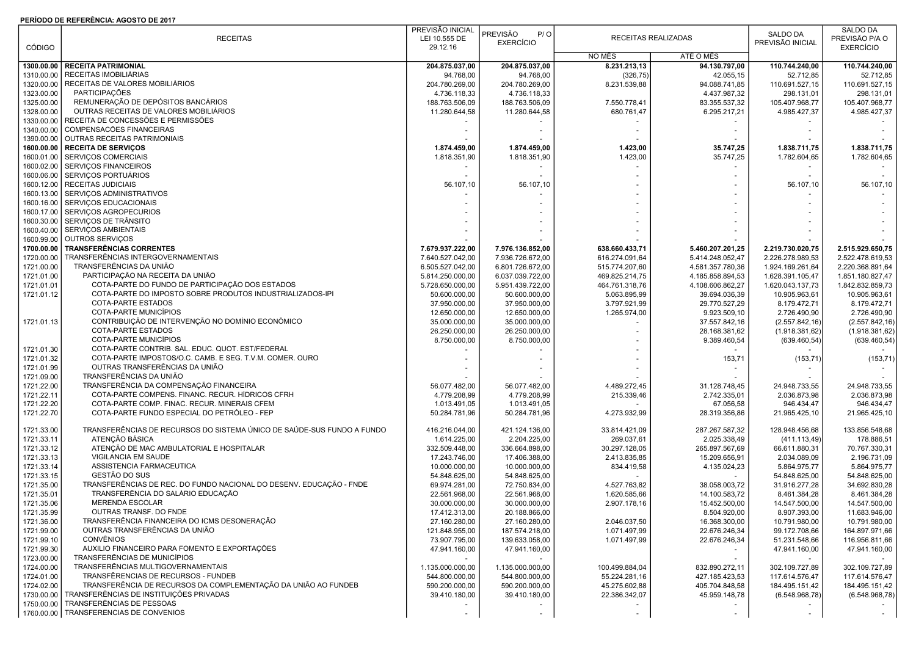## PERÍODO DE REFERÊNCIA: AGOSTO DE 2017

|               |                                                                        | PREVISÃO INICIAL |                        |                |                     |                  | SALDO DA         |
|---------------|------------------------------------------------------------------------|------------------|------------------------|----------------|---------------------|------------------|------------------|
|               | <b>RECEITAS</b>                                                        | LEI 10.555 DE    | <b>PREVISÃO</b><br>P/O |                | RECEITAS REALIZADAS | SALDO DA         | PREVISÃO P/A O   |
| <b>CÓDIGO</b> |                                                                        | 29.12.16         | <b>EXERCÍCIO</b>       |                |                     | PREVISÃO INICIAL | <b>EXERCÍCIO</b> |
|               |                                                                        |                  |                        | NO MÊS         | ATÉ O MÊS           |                  |                  |
| 1300.00.00    | <b>RECEITA PATRIMONIAL</b>                                             | 204.875.037.00   | 204.875.037,00         | 8.231.213,13   | 94.130.797.00       | 110.744.240,00   | 110.744.240,00   |
| 1310.00.00    | RECEITAS IMOBILIÁRIAS                                                  | 94.768,00        | 94.768,00              | (326, 75)      | 42.055,15           | 52.712,85        | 52.712,85        |
| 1320.00.00    | RECEITAS DE VALORES MOBILIÁRIOS                                        | 204.780.269,00   | 204.780.269,00         | 8.231.539,88   | 94.088.741,85       | 110.691.527,15   | 110.691.527,15   |
| 1323.00.00    | PARTICIPAÇÕES                                                          | 4.736.118,33     | 4.736.118,33           |                | 4.437.987,32        | 298.131,01       | 298.131,01       |
| 1325.00.00    | REMUNERAÇÃO DE DEPÓSITOS BANCÁRIOS                                     | 188.763.506,09   | 188.763.506,09         | 7.550.778,41   | 83.355.537,32       | 105.407.968,77   | 105.407.968,77   |
| 1328.00.00    | OUTRAS RECEITAS DE VALORES MOBILIÁRIOS                                 | 11.280.644,58    | 11.280.644,58          | 680.761,47     | 6.295.217,21        | 4.985.427,37     | 4.985.427,37     |
| 1330.00.00    | RECEITA DE CONCESSÕES E PERMISSÕES                                     |                  |                        |                |                     |                  |                  |
| 1340.00.00    | COMPENSACÕES FINANCEIRAS                                               |                  |                        |                |                     |                  |                  |
| 1390.00.00    | OUTRAS RECEITAS PATRIMONIAIS                                           |                  |                        |                |                     |                  |                  |
| 1600.00.00    | <b>RECEITA DE SERVIÇOS</b>                                             | 1.874.459,00     | 1.874.459,00           | 1.423,00       | 35.747,25           | 1.838.711,75     | 1.838.711,75     |
| 1600.01.00    | SERVIÇOS COMERCIAIS                                                    | 1.818.351,90     | 1.818.351,90           | 1.423,00       | 35.747,25           | 1.782.604,65     | 1.782.604,65     |
| 1600.02.00    | <b>SERVIÇOS FINANCEIROS</b>                                            |                  |                        |                |                     |                  |                  |
| 1600.06.00    | SERVIÇOS PORTUÁRIOS                                                    |                  |                        |                |                     |                  |                  |
| 1600.12.00    | <b>RECEITAS JUDICIAIS</b>                                              |                  | 56.107,10              |                |                     | 56.107,10        | 56.107,10        |
|               | SERVIÇOS ADMINISTRATIVOS                                               | 56.107,10        |                        |                |                     |                  |                  |
| 1600.13.00    |                                                                        |                  |                        |                |                     |                  |                  |
| 1600.16.00    | SERVIÇOS EDUCACIONAIS                                                  |                  |                        |                |                     |                  |                  |
| 1600.17.00    | SERVIÇOS AGROPECURIOS                                                  |                  |                        |                |                     |                  |                  |
| 1600.30.00    | SERVIÇOS DE TRÂNSITO                                                   |                  |                        |                |                     |                  |                  |
| 1600.40.00    | SERVIÇOS AMBIENTAIS                                                    |                  |                        |                |                     |                  |                  |
| 1600.99.00    | OUTROS SERVIÇOS                                                        |                  |                        |                |                     |                  |                  |
| 1700.00.00    | <b>TRANSFERÊNCIAS CORRENTES</b>                                        | 7.679.937.222,00 | 7.976.136.852,00       | 638.660.433,71 | 5.460.207.201,25    | 2.219.730.020,75 | 2.515.929.650,75 |
| 1720.00.00    | TRANSFERÊNCIAS INTERGOVERNAMENTAIS                                     | 7.640.527.042,00 | 7.936.726.672,00       | 616.274.091,64 | 5.414.248.052,47    | 2.226.278.989,53 | 2.522.478.619,53 |
| 1721.00.00    | TRANSFERÊNCIAS DA UNIÃO                                                | 6.505.527.042.00 | 6.801.726.672,00       | 515.774.207,60 | 4.581.357.780,36    | 1.924.169.261,64 | 2.220.368.891.64 |
| 1721.01.00    | PARTICIPAÇÃO NA RECEITA DA UNIÃO                                       | 5.814.250.000,00 | 6.037.039.722,00       | 469.825.214,75 | 4.185.858.894,53    | 1.628.391.105,47 | 1.851.180.827,47 |
| 1721.01.01    | COTA-PARTE DO FUNDO DE PARTICIPAÇÃO DOS ESTADOS                        | 5.728.650.000.00 | 5.951.439.722,00       | 464.761.318,76 | 4.108.606.862,27    | 1.620.043.137,73 | 1.842.832.859,73 |
| 1721.01.12    | COTA-PARTE DO IMPOSTO SOBRE PRODUTOS INDUSTRIALIZADOS-IPI              | 50.600.000,00    | 50.600.000,00          | 5.063.895,99   | 39.694.036,39       | 10.905.963,61    | 10.905.963,61    |
|               | COTA-PARTE ESTADOS                                                     | 37.950.000,00    | 37.950.000,00          | 3.797.921,99   | 29.770.527,29       | 8.179.472,71     | 8.179.472,71     |
|               | COTA-PARTE MUNICÍPIOS                                                  | 12.650.000,00    | 12.650.000,00          | 1.265.974,00   | 9.923.509,10        | 2.726.490,90     | 2.726.490,90     |
| 1721.01.13    | CONTRIBUIÇÃO DE INTERVENÇÃO NO DOMÍNIO ECONÔMICO                       | 35.000.000,00    | 35.000.000,00          |                | 37.557.842,16       | (2.557.842, 16)  | (2.557.842, 16)  |
|               | COTA-PARTE ESTADOS                                                     | 26.250.000,00    | 26.250.000,00          |                | 28.168.381,62       | (1.918.381,62)   | (1.918.381, 62)  |
|               | <b>COTA-PARTE MUNICÍPIOS</b>                                           | 8.750.000,00     | 8.750.000,00           |                | 9.389.460,54        | (639.460, 54)    | (639.460, 54)    |
| 1721.01.30    | COTA-PARTE CONTRIB. SAL. EDUC. QUOT. EST/FEDERAL                       |                  |                        |                |                     |                  |                  |
| 1721.01.32    | COTA-PARTE IMPOSTOS/O.C. CAMB. E SEG. T.V.M. COMER. OURO               |                  |                        |                | 153,71              | (153, 71)        | (153, 71)        |
| 1721.01.99    | OUTRAS TRANSFERÊNCIAS DA UNIÃO                                         |                  |                        |                |                     |                  |                  |
| 1721.09.00    | TRANSFERÊNCIAS DA UNIÃO                                                |                  |                        |                |                     |                  |                  |
| 1721.22.00    | TRANSFERÊNCIA DA COMPENSAÇÃO FINANCEIRA                                | 56.077.482,00    | 56.077.482,00          | 4.489.272,45   | 31.128.748,45       | 24.948.733,55    | 24.948.733,55    |
| 1721.22.11    | COTA-PARTE COMPENS. FINANC. RECUR. HÍDRICOS CFRH                       | 4.779.208,99     | 4.779.208,99           | 215.339,46     | 2.742.335,01        | 2.036.873,98     | 2.036.873,98     |
| 1721.22.20    | COTA-PARTE COMP. FINAC. RECUR. MINERAIS CFEM                           | 1.013.491,05     | 1.013.491,05           |                | 67.056,58           | 946.434,47       | 946.434,47       |
| 1721.22.70    | COTA-PARTE FUNDO ESPECIAL DO PETRÓLEO - FEP                            | 50.284.781,96    | 50.284.781,96          | 4.273.932,99   | 28.319.356,86       | 21.965.425,10    | 21.965.425,10    |
|               |                                                                        |                  |                        |                |                     |                  |                  |
| 1721.33.00    | TRANSFERÊNCIAS DE RECURSOS DO SISTEMA ÚNICO DE SAÚDE-SUS FUNDO A FUNDO | 416.216.044,00   | 421.124.136,00         | 33.814.421,09  | 287.267.587,32      | 128.948.456,68   | 133.856.548,68   |
| 1721.33.11    | ATENÇÃO BÁSICA                                                         | 1.614.225,00     | 2.204.225,00           | 269.037,61     | 2.025.338,49        | (411.113,49)     | 178.886,51       |
| 1721.33.12    | ATENCÃO DE MAC AMBULATORIAL E HOSPITALAR                               | 332.509.448,00   | 336.664.898,00         | 30.297.128,05  | 265.897.567,69      | 66.611.880,31    | 70.767.330,31    |
| 1721.33.13    | VIGILANCIA EM SAUDE                                                    | 17.243.746,00    | 17.406.388,00          | 2.413.835,85   | 15.209.656,91       | 2.034.089,09     | 2.196.731,09     |
| 1721.33.14    | ASSISTENCIA FARMACEUTICA                                               | 10.000.000,00    | 10.000.000,00          | 834.419,58     | 4.135.024,23        | 5.864.975,77     | 5.864.975,77     |
| 1721.33.15    | GESTÃO DO SUS                                                          | 54.848.625,00    | 54.848.625,00          |                |                     | 54.848.625,00    | 54.848.625,00    |
| 1721.35.00    | TRANSFERÊNCIAS DE REC. DO FUNDO NACIONAL DO DESENV. EDUCAÇÃO - FNDE    | 69.974.281,00    | 72.750.834,00          | 4.527.763,82   | 38.058.003,72       | 31.916.277,28    | 34.692.830,28    |
| 1721.35.01    | TRANSFERÊNCIA DO SALÁRIO EDUCAÇÃO                                      | 22.561.968,00    | 22.561.968,00          | 1.620.585,66   | 14.100.583,72       | 8.461.384,28     | 8.461.384,28     |
| 1721.35.06    | <b>MERENDA ESCOLAR</b>                                                 | 30.000.000,00    | 30.000.000,00          | 2.907.178,16   | 15.452.500,00       | 14.547.500,00    | 14.547.500,00    |
| 1721.35.99    | OUTRAS TRANSF. DO FNDE                                                 | 17.412.313,00    | 20.188.866,00          |                | 8.504.920,00        | 8.907.393,00     | 11.683.946,00    |
| 1721.36.00    | TRANSFERÊNCIA FINANCEIRA DO ICMS DESONERAÇÃO                           | 27.160.280,00    | 27.160.280,00          | 2.046.037,50   | 16.368.300,00       | 10.791.980,00    | 10.791.980,00    |
|               | OUTRAS TRANSFERÊNCIAS DA UNIÃO                                         |                  |                        |                |                     |                  |                  |
| 1721.99.00    | CONVÊNIOS                                                              | 121.848.955,00   | 187.574.218,00         | 1.071.497,99   | 22.676.246,34       | 99.172.708,66    | 164.897.971,66   |
| 1721.99.10    | AUXILIO FINANCEIRO PARA FOMENTO E EXPORTAÇÕES                          | 73.907.795,00    | 139.633.058,00         | 1.071.497,99   | 22.676.246,34       | 51.231.548,66    | 116.956.811,66   |
| 1721.99.30    |                                                                        | 47.941.160,00    | 47.941.160,00          |                | $\sim$              | 47.941.160,00    | 47.941.160,00    |
| 1723.00.00    | TRANSFERÊNCIAS DE MUNICÍPIOS                                           |                  |                        |                | $\sim$              |                  |                  |
| 1724.00.00    | TRANSFERÊNCIAS MULTIGOVERNAMENTAIS                                     | 1.135.000.000,00 | 1.135.000.000,00       | 100.499.884,04 | 832.890.272,11      | 302.109.727,89   | 302.109.727,89   |
| 1724.01.00    | TRANSFÊRENCIAS DE RECURSOS - FUNDEB                                    | 544.800.000,00   | 544.800.000,00         | 55.224.281,16  | 427.185.423,53      | 117.614.576.47   | 117.614.576.47   |
| 1724.02.00    | TRANSFERÊNCIA DE RECURSOS DA COMPLEMENTAÇÃO DA UNIÃO AO FUNDEB         | 590.200.000,00   | 590.200.000,00         | 45.275.602,88  | 405.704.848,58      | 184.495.151,42   | 184.495.151,42   |
| 1730.00.00    | TRANSFERÊNCIAS DE INSTITUIÇÕES PRIVADAS                                | 39.410.180.00    | 39.410.180,00          | 22.386.342,07  | 45.959.148,78       | (6.548.968.78)   | (6.548.968,78)   |
| 1750.00.00    | TRANSFERÊNCIAS DE PESSOAS                                              |                  |                        |                |                     |                  |                  |
|               | 1760.00.00   TRANSFERENCIAS DE CONVENIOS                               |                  |                        |                |                     |                  |                  |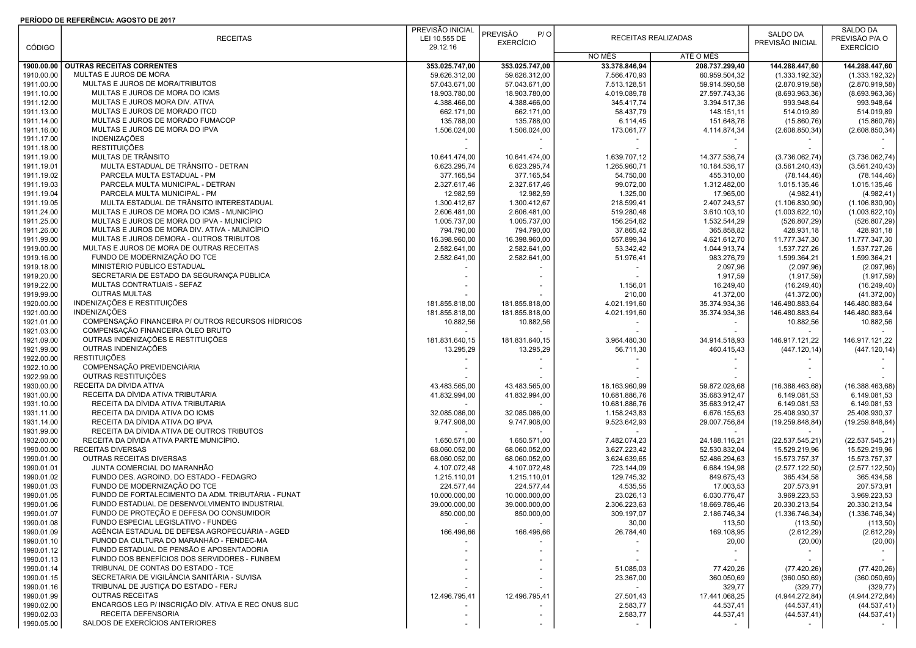## PERÍODO DE REFERÊNCIA: AGOSTO DE 2017

|                          | <b>RECEITAS</b>                                                                             | PREVISÃO INICIAL<br>LEI 10.555 DE | PREVISÃO<br>P/O<br><b>EXERCÍCIO</b> | RECEITAS REALIZADAS            |                                           | SALDO DA<br>PREVISÃO INICIAL | SALDO DA<br>PREVISÃO P/A O   |  |
|--------------------------|---------------------------------------------------------------------------------------------|-----------------------------------|-------------------------------------|--------------------------------|-------------------------------------------|------------------------------|------------------------------|--|
| <b>CÓDIGO</b>            |                                                                                             | 29.12.16                          |                                     | NO MÊS                         | ATÉ O MÊS                                 |                              | <b>EXERCÍCIO</b>             |  |
| 1900.00.00               | <b>OUTRAS RECEITAS CORRENTES</b>                                                            | 353.025.747,00                    | 353.025.747,00                      | 33.378.846,94                  | 208.737.299,40                            | 144.288.447,60               | 144.288.447,60               |  |
| 1910.00.00               | MULTAS E JUROS DE MORA                                                                      | 59.626.312,00                     | 59.626.312,00                       | 7.566.470,93                   | 60.959.504,32                             | (1.333.192,32)               | (1.333.192, 32)              |  |
| 1911.00.00               | MULTAS E JUROS DE MORA/TRIBUTOS                                                             | 57.043.671,00                     | 57.043.671,00                       | 7.513.128,51                   | 59.914.590,58                             | (2.870.919,58)               | (2.870.919,58)               |  |
| 1911.10.00               | MULTAS E JUROS DE MORA DO ICMS                                                              | 18.903.780,00                     | 18.903.780,00                       | 4.019.089,78                   | 27.597.743,36                             | (8.693.963, 36)              | (8.693.963, 36)              |  |
| 1911.12.00               | MULTAS E JUROS MORA DIV. ATIVA                                                              | 4.388.466.00                      | 4.388.466,00                        | 345.417.74                     | 3.394.517.36                              | 993.948,64                   | 993.948,64                   |  |
| 1911.13.00               | MULTAS E JUROS DE MORADO ITCD                                                               | 662.171,00                        | 662.171,00                          | 58.437,79                      | 148.151,11                                | 514.019,89                   | 514.019,89                   |  |
| 1911.14.00               | MULTAS E JUROS DE MORADO FUMACOP                                                            | 135.788,00                        | 135.788,00                          | 6.114,45                       | 151.648,76                                | (15.860, 76)                 | (15.860, 76)                 |  |
| 1911.16.00               | MULTAS E JUROS DE MORA DO IPVA                                                              | 1.506.024,00                      | 1.506.024,00                        | 173.061,77                     | 4.114.874,34                              | (2.608.850, 34)              | (2.608.850, 34)              |  |
| 1911.17.00<br>1911.18.00 | INDENIZAÇÕES<br><b>RESTITUIÇÕES</b>                                                         |                                   |                                     |                                |                                           |                              |                              |  |
| 1911.19.00               | MULTAS DE TRÂNSITO                                                                          | 10.641.474,00                     | 10.641.474,00                       | 1.639.707,12                   | 14.377.536,74                             | (3.736.062,74)               | (3.736.062, 74)              |  |
| 1911.19.01               | MULTA ESTADUAL DE TRÂNSITO - DETRAN                                                         | 6.623.295,74                      | 6.623.295,74                        | 1.265.960,71                   | 10.184.536,17                             | (3.561.240, 43)              | (3.561.240, 43)              |  |
| 1911.19.02               | PARCELA MULTA ESTADUAL - PM                                                                 | 377.165,54                        | 377.165,54                          | 54.750,00                      | 455.310,00                                | (78.144, 46)                 | (78.144, 46)                 |  |
| 1911.19.03               | PARCELA MULTA MUNICIPAL - DETRAN                                                            | 2.327.617,46                      | 2.327.617,46                        | 99.072,00                      | 1.312.482,00                              | 1.015.135,46                 | 1.015.135,46                 |  |
| 1911.19.04               | PARCELA MULTA MUNICIPAL - PM                                                                | 12.982,59                         | 12.982,59                           | 1.325,00                       | 17.965,00                                 | (4.982, 41)                  | (4.982, 41)                  |  |
| 1911.19.05               | MULTA ESTADUAL DE TRÂNSITO INTERESTADUAL                                                    | 1.300.412,67                      | 1.300.412,67                        | 218.599,41                     | 2.407.243,57                              | (1.106.830,90)               | (1.106.830,90)               |  |
| 1911.24.00               | MULTAS E JUROS DE MORA DO ICMS - MUNICÍPIO                                                  | 2.606.481,00                      | 2.606.481,00                        | 519.280,48                     | 3.610.103,10                              | (1.003.622, 10)              | (1.003.622, 10)              |  |
| 1911.25.00<br>1911.26.00 | MULTAS E JUROS DE MORA DO IPVA - MUNICÍPIO<br>MULTAS E JUROS DE MORA DIV. ATIVA - MUNICÍPIO | 1.005.737,00<br>794.790,00        | 1.005.737,00<br>794.790,00          | 156.254,62<br>37.865,42        | 1.532.544,29<br>365.858,82                | (526.807, 29)<br>428.931,18  | (526.807, 29)<br>428.931,18  |  |
| 1911.99.00               | MULTAS E JUROS DEMORA - OUTROS TRIBUTOS                                                     | 16.398.960,00                     | 16.398.960,00                       | 557.899,34                     | 4.621.612,70                              | 11.777.347,30                | 11.777.347,30                |  |
| 1919.00.00               | MULTAS E JUROS DE MORA DE OUTRAS RECEITAS                                                   | 2.582.641,00                      | 2.582.641,00                        | 53.342,42                      | 1.044.913,74                              | 1.537.727,26                 | 1.537.727,26                 |  |
| 1919.16.00               | FUNDO DE MODERNIZAÇÃO DO TCE                                                                | 2.582.641,00                      | 2.582.641,00                        | 51.976,41                      | 983.276,79                                | 1.599.364,21                 | 1.599.364,21                 |  |
| 1919.18.00               | MINISTÉRIO PÚBLICO ESTADUAL                                                                 |                                   |                                     |                                | 2.097,96                                  | (2.097, 96)                  | (2.097,96)                   |  |
| 1919.20.00               | SECRETARIA DE ESTADO DA SEGURANÇA PÚBLICA                                                   |                                   |                                     |                                | 1.917,59                                  | (1.917, 59)                  | (1.917, 59)                  |  |
| 1919.22.00               | MULTAS CONTRATUAIS - SEFAZ                                                                  |                                   |                                     | 1.156,01                       | 16.249,40                                 | (16.249, 40)                 | (16.249, 40)                 |  |
| 1919.99.00               | <b>OUTRAS MULTAS</b>                                                                        |                                   |                                     | 210,00                         | 41.372,00                                 | (41.372,00)                  | (41.372,00)                  |  |
| 1920.00.00               | INDENIZAÇÕES E RESTITUIÇÕES                                                                 | 181.855.818,00                    | 181.855.818,00                      | 4.021.191,60                   | 35.374.934,36                             | 146.480.883,64               | 146.480.883,64               |  |
| 1921.00.00<br>1921.01.00 | <b>INDENIZAÇÕES</b><br>COMPENSAÇÃO FINANCEIRA P/ OUTROS RECURSOS HÍDRICOS                   | 181.855.818,00<br>10.882,56       | 181.855.818,00<br>10.882,56         | 4.021.191,60                   | 35.374.934,36<br>$\overline{\phantom{a}}$ | 146.480.883,64<br>10.882,56  | 146.480.883,64<br>10.882,56  |  |
| 1921.03.00               | COMPENSAÇÃO FINANCEIRA ÓLEO BRUTO                                                           |                                   |                                     |                                |                                           |                              |                              |  |
| 1921.09.00               | OUTRAS INDENIZAÇÕES E RESTITUIÇÕES                                                          | 181.831.640,15                    | 181.831.640,15                      | 3.964.480,30                   | 34.914.518,93                             | 146.917.121,22               | 146.917.121,22               |  |
| 1921.99.00               | OUTRAS INDENIZAÇÕES                                                                         | 13.295,29                         | 13.295,29                           | 56.711,30                      | 460.415,43                                | (447.120, 14)                | (447.120, 14)                |  |
| 1922.00.00               | <b>RESTITUIÇÕES</b>                                                                         |                                   |                                     |                                |                                           |                              |                              |  |
| 1922.10.00               | COMPENSAÇÃO PREVIDENCIÁRIA                                                                  |                                   |                                     |                                |                                           |                              |                              |  |
| 1922.99.00               | OUTRAS RESTITUIÇÕES                                                                         |                                   |                                     |                                |                                           |                              |                              |  |
| 1930.00.00               | RECEITA DA DÍVIDA ATIVA<br>RECEITA DA DÍVIDA ATIVA TRIBUTÁRIA                               | 43.483.565,00                     | 43.483.565,00                       | 18.163.960,99                  | 59.872.028,68                             | (16.388.463,68)              | (16.388.463,68)              |  |
| 1931.00.00<br>1931.10.00 | RECEITA DA DÍVIDA ATIVA TRIBUTARIA                                                          | 41.832.994,00                     | 41.832.994,00                       | 10.681.886,76<br>10.681.886,76 | 35.683.912,47<br>35.683.912,47            | 6.149.081,53<br>6.149.081,53 | 6.149.081,53<br>6.149.081,53 |  |
| 1931.11.00               | RECEITA DA DIVIDA ATIVA DO ICMS                                                             | 32.085.086,00                     | 32.085.086,00                       | 1.158.243,83                   | 6.676.155,63                              | 25.408.930,37                | 25.408.930,37                |  |
| 1931.14.00               | RECEITA DA DÍVIDA ATIVA DO IPVA                                                             | 9.747.908,00                      | 9.747.908,00                        | 9.523.642,93                   | 29.007.756,84                             | (19.259.848, 84)             | (19.259.848, 84)             |  |
| 1931.99.00               | RECEITA DA DÍVIDA ATIVA DE OUTROS TRIBUTOS                                                  |                                   |                                     |                                |                                           |                              |                              |  |
| 1932.00.00               | RECEITA DA DÍVIDA ATIVA PARTE MUNICÍPIO.                                                    | 1.650.571,00                      | 1.650.571,00                        | 7.482.074,23                   | 24.188.116,21                             | (22.537.545, 21)             | (22.537.545, 21)             |  |
| 1990.00.00               | <b>RECEITAS DIVERSAS</b>                                                                    | 68.060.052,00                     | 68.060.052,00                       | 3.627.223,42                   | 52.530.832,04                             | 15.529.219,96                | 15.529.219,96                |  |
| 1990.01.00               | OUTRAS RECEITAS DIVERSAS                                                                    | 68.060.052,00                     | 68.060.052,00                       | 3.624.639,65                   | 52.486.294,63                             | 15.573.757,37                | 15.573.757,37                |  |
| 1990.01.01               | JUNTA COMERCIAL DO MARANHÃO<br>FUNDO DES. AGROIND. DO ESTADO - FEDAGRO                      | 4.107.072,48                      | 4.107.072,48                        | 723.144,09                     | 6.684.194,98                              | (2.577.122,50)               | (2.577.122, 50)              |  |
| 1990.01.02<br>1990.01.03 | FUNDO DE MODERNIZAÇÃO DO TCE                                                                | 1.215.110,01<br>224.577,44        | 1.215.110,01<br>224.577,44          | 129.745,32<br>4.535,55         | 849.675,43<br>17.003,53                   | 365.434,58<br>207.573,91     | 365.434,58<br>207.573,91     |  |
| 1990.01.05               | FUNDO DE FORTALECIMENTO DA ADM. TRIBUTÁRIA - FUNAT                                          | 10.000.000,00                     | 10.000.000,00                       | 23.026,13                      | 6.030.776,47                              | 3.969.223,53                 | 3.969.223,53                 |  |
| 1990.01.06               | FUNDO ESTADUAL DE DESENVOLVIMENTO INDUSTRIAL                                                | 39.000.000,00                     | 39.000.000,00                       | 2.306.223,63                   | 18.669.786,46                             | 20.330.213,54                | 20.330.213,54                |  |
| 1990.01.07               | FUNDO DE PROTEÇÃO E DEFESA DO CONSUMIDOR                                                    | 850.000,00                        | 850.000,00                          | 309.197,07                     | 2.186.746,34                              | (1.336.746, 34)              | (1.336.746, 34)              |  |
| 1990.01.08               | FUNDO ESPECIAL LEGISLATIVO - FUNDEG                                                         |                                   |                                     | 30,00                          | 113,50                                    | (113,50)                     | (113,50)                     |  |
| 1990.01.09               | AGÊNCIA ESTADUAL DE DEFESA AGROPECUÁRIA - AGED                                              | 166.496,66                        | 166.496,66                          | 26.784,40                      | 169.108,95                                | (2.612, 29)                  | (2.612, 29)                  |  |
| 1990.01.10               | FUNOD DA CULTURA DO MARANHÃO - FENDEC-MA                                                    |                                   |                                     |                                | 20,00                                     | (20,00)                      | (20,00)                      |  |
| 1990.01.12               | FUNDO ESTADUAL DE PENSÃO E APOSENTADORIA<br>FUNDO DOS BENEFÍCIOS DOS SERVIDORES - FUNBEM    |                                   |                                     |                                |                                           |                              |                              |  |
| 1990.01.13<br>1990.01.14 | TRIBUNAL DE CONTAS DO ESTADO - TCE                                                          |                                   |                                     | 51.085,03                      | 77.420,26                                 | (77.420, 26)                 | (77.420, 26)                 |  |
| 1990.01.15               | SECRETARIA DE VIGILÂNCIA SANITÁRIA - SUVISA                                                 |                                   |                                     | 23.367,00                      | 360.050,69                                | (360.050, 69)                | (360.050, 69)                |  |
| 1990.01.16               | TRIBUNAL DE JUSTIÇA DO ESTADO - FERJ                                                        |                                   |                                     |                                | 329,77                                    | (329, 77)                    | (329, 77)                    |  |
| 1990.01.99               | <b>OUTRAS RECEITAS</b>                                                                      | 12.496.795,41                     | 12.496.795,41                       | 27.501,43                      | 17.441.068,25                             | (4.944.272, 84)              | (4.944.272, 84)              |  |
| 1990.02.00               | ENCARGOS LEG P/ INSCRIÇÃO DÍV. ATIVA E REC ONUS SUC                                         |                                   |                                     | 2.583,77                       | 44.537,41                                 | (44.537, 41)                 | (44.537, 41)                 |  |
| 1990.02.03               | RECEITA DEFENSORIA                                                                          |                                   |                                     | 2.583,77                       | 44.537,41                                 | (44.537, 41)                 | (44.537, 41)                 |  |
| 1990.05.00               | SALDOS DE EXERCÍCIOS ANTERIORES                                                             |                                   |                                     |                                |                                           |                              |                              |  |